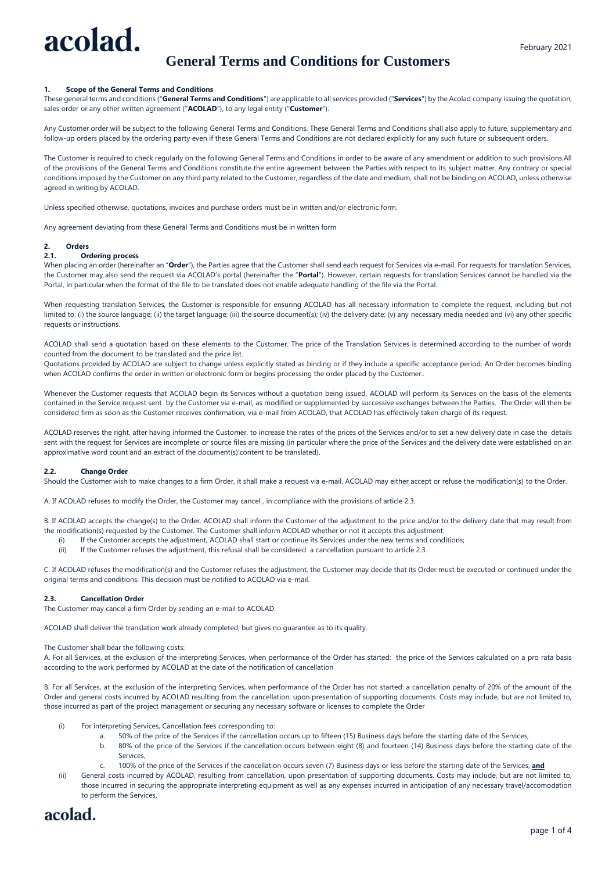# acolad.

# **General Terms and Conditions for Customers**

#### **1. Scope of the General Terms and Conditions**

These general terms and conditions ("**General Terms and Conditions**") are applicable to all services provided ("**Services**") by the Acolad company issuing the quotation, sales order or any other written agreement ("**ACOLAD**"), to any legal entity ("**Customer**").

Any Customer order will be subject to the following General Terms and Conditions. These General Terms and Conditions shall also apply to future, supplementary and follow-up orders placed by the ordering party even if these General Terms and Conditions are not declared explicitly for any such future or subsequent orders.

The Customer is required to check regularly on the following General Terms and Conditions in order to be aware of any amendment or addition to such provisions.All of the provisions of the General Terms and Conditions constitute the entire agreement between the Parties with respect to its subject matter. Any contrary or special conditions imposed by the Customer on any third party related to the Customer, regardless of the date and medium, shall not be binding on ACOLAD, unless otherwise agreed in writing by ACOLAD.

Unless specified otherwise, quotations, invoices and purchase orders must be in written and/or electronic form.

Any agreement deviating from these General Terms and Conditions must be in written form

## **2. Orders**

#### **2.1. Ordering process**

When placing an order (hereinafter an "Order"), the Parties agree that the Customer shall send each request for Services via e-mail. For requests for translation Services, the Customer may also send the request via ACOLAD's portal (hereinafter the "**Portal**"). However, certain requests for translation Services cannot be handled via the Portal, in particular when the format of the file to be translated does not enable adequate handling of the file via the Portal.

When requesting translation Services, the Customer is responsible for ensuring ACOLAD has all necessary information to complete the request, including but not limited to: (i) the source language; (ii) the target language; (iii) the source document(s); (iv) the delivery date; (v) any necessary media needed and (vi) any other specific requests or instructions.

ACOLAD shall send a quotation based on these elements to the Customer. The price of the Translation Services is determined according to the number of words counted from the document to be translated and the price list.

Quotations provided by ACOLAD are subject to change unless explicitly stated as binding or if they include a specific acceptance period. An Order becomes binding when ACOLAD confirms the order in written or electronic form or begins processing the order placed by the Customer..

Whenever the Customer requests that ACOLAD begin its Services without a quotation being issued, ACOLAD will perform its Services on the basis of the elements contained in the Service request sent by the Customer via e-mail, as modified or supplemented by successive exchanges between the Parties. The Order will then be considered firm as soon as the Customer receives confirmation, via e-mail from ACOLAD, that ACOLAD has effectively taken charge of its request.

ACOLAD reserves the right, after having informed the Customer, to increase the rates of the prices of the Services and/or to set a new delivery date in case the details sent with the request for Services are incomplete or source files are missing (in particular where the price of the Services and the delivery date were established on an approximative word count and an extract of the document(s)'content to be translated).

#### **2.2. Change Order**

Should the Customer wish to make changes to a firm Order, it shall make a request via e-mail. ACOLAD may either accept or refuse the modification(s) to the Order.

A. If ACOLAD refuses to modify the Order, the Customer may cancel , in compliance with the provisions of article 2.3.

B. If ACOLAD accepts the change(s) to the Order, ACOLAD shall inform the Customer of the adjustment to the price and/or to the delivery date that may result from the modification(s) requested by the Customer. The Customer shall inform ACOLAD whether or not it accepts this adjustment:

- (i) If the Customer accepts the adjustment, ACOLAD shall start or continue its Services under the new terms and conditions;
- (ii) If the Customer refuses the adjustment, this refusal shall be considered a cancellation pursuant to article 2.3.

C. If ACOLAD refuses the modification(s) and the Customer refuses the adjustment, the Customer may decide that its Order must be executed or continued under the original terms and conditions. This decision must be notified to ACOLAD via e-mail.

#### **2.3. Cancellation Order**

The Customer may cancel a firm Order by sending an e-mail to ACOLAD.

ACOLAD shall deliver the translation work already completed, but gives no guarantee as to its quality.

The Customer shall bear the following costs:

A. For all Services, at the exclusion of the interpreting Services, when performance of the Order has started: the price of the Services calculated on a pro rata basis according to the work performed by ACOLAD at the date of the notification of cancellation

B. For all Services, at the exclusion of the interpreting Services, when performance of the Order has not started: a cancellation penalty of 20% of the amount of the Order and general costs incurred by ACOLAD resulting from the cancellation, upon presentation of supporting documents. Costs may include, but are not limited to, those incurred as part of the project management or securing any necessary software or licenses to complete the Order

- (i) For interpreting Services, Cancellation fees corresponding to:
	- a. 50% of the price of the Services if the cancellation occurs up to fifteen (15) Business days before the starting date of the Services,
		- b. 80% of the price of the Services if the cancellation occurs between eight (8) and fourteen (14) Business days before the starting date of the Services,
		- c. 100% of the price of the Services if the cancellation occurs seven (7) Business days or less before the starting date of the Services, **and**
- (ii) General costs incurred by ACOLAD, resulting from cancellation, upon presentation of supporting documents. Costs may include, but are not limited to, those incurred in securing the appropriate interpreting equipment as well as any expenses incurred in anticipation of any necessary travel/accomodation to perform the Services.

# acolad.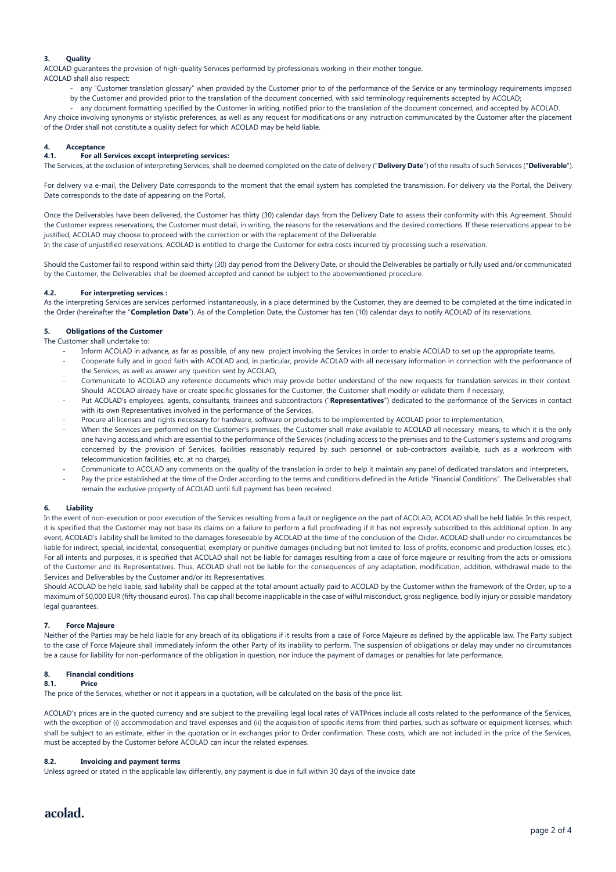#### **3. Quality**

ACOLAD guarantees the provision of high-quality Services performed by professionals working in their mother tongue. ACOLAD shall also respect:

- any "Customer translation glossary" when provided by the Customer prior to of the performance of the Service or any terminology requirements imposed by the Customer and provided prior to the translation of the document concerned, with said terminology requirements accepted by ACOLAD;
- any document formatting specified by the Customer in writing, notified prior to the translation of the document concerned, and accepted by ACOLAD.

Any choice involving synonyms or stylistic preferences, as well as any request for modifications or any instruction communicated by the Customer after the placement of the Order shall not constitute a quality defect for which ACOLAD may be held liable.

#### **4. Acceptance**

#### **4.1. For all Services except interpreting services:**

The Services, at the exclusion of interpreting Services, shall be deemed completed on the date of delivery ("**Delivery Date**") of the results of such Services ("**Deliverable**").

For delivery via e-mail, the Delivery Date corresponds to the moment that the email system has completed the transmission. For delivery via the Portal, the Delivery Date corresponds to the date of appearing on the Portal.

Once the Deliverables have been delivered, the Customer has thirty (30) calendar days from the Delivery Date to assess their conformity with this Agreement. Should the Customer express reservations, the Customer must detail, in writing, the reasons for the reservations and the desired corrections. If these reservations appear to be justified, ACOLAD may choose to proceed with the correction or with the replacement of the Deliverable.

In the case of unjustified reservations, ACOLAD is entitled to charge the Customer for extra costs incurred by processing such a reservation.

Should the Customer fail to respond within said thirty (30) day period from the Delivery Date, or should the Deliverables be partially or fully used and/or communicated by the Customer, the Deliverables shall be deemed accepted and cannot be subject to the abovementioned procedure.

#### **4.2. For interpreting services :**

As the interpreting Services are services performed instantaneously, in a place determined by the Customer, they are deemed to be completed at the time indicated in the Order (hereinafter the "**Completion Date**"). As of the Completion Date, the Customer has ten (10) calendar days to notify ACOLAD of its reservations.

#### **5. Obligations of the Customer**

#### The Customer shall undertake to:

- Inform ACOLAD in advance, as far as possible, of any new project involving the Services in order to enable ACOLAD to set up the appropriate teams, - Cooperate fully and in good faith with ACOLAD and, in particular, provide ACOLAD with all necessary information in connection with the performance of the Services, as well as answer any question sent by ACOLAD,
- Communicate to ACOLAD any reference documents which may provide better understand of the new requests for translation services in their context. Should ACOLAD already have or create specific glossaries for the Customer, the Customer shall modify or validate them if necessary,
- Put ACOLAD's employees, agents, consultants, trainees and subcontractors ("**Representatives**") dedicated to the performance of the Services in contact with its own Representatives involved in the performance of the Services,
- Procure all licenses and rights necessary for hardware, software or products to be implemented by ACOLAD prior to implementation,
- When the Services are performed on the Customer's premises, the Customer shall make available to ACOLAD all necessary means, to which it is the only one having access,and which are essential to the performance of the Services (including access to the premises and to the Customer's systems and programs concerned by the provision of Services, facilities reasonably required by such personnel or sub-contractors available, such as a workroom with telecommunication facilities, etc. at no charge),
- Communicate to ACOLAD any comments on the quality of the translation in order to help it maintain any panel of dedicated translators and interpreters, Pay the price established at the time of the Order according to the terms and conditions defined in the Article "Financial Conditions". The Deliverables shall
- remain the exclusive property of ACOLAD until full payment has been received.

#### **6. Liability**

In the event of non-execution or poor execution of the Services resulting from a fault or negligence on the part of ACOLAD, ACOLAD shall be held liable. In this respect, it is specified that the Customer may not base its claims on a failure to perform a full proofreading if it has not expressly subscribed to this additional option. In any event, ACOLAD's liability shall be limited to the damages foreseeable by ACOLAD at the time of the conclusion of the Order. ACOLAD shall under no circumstances be liable for indirect, special, incidental, consequential, exemplary or punitive damages (including but not limited to: loss of profits, economic and production losses, etc.). For all intents and purposes, it is specified that ACOLAD shall not be liable for damages resulting from a case of force majeure or resulting from the acts or omissions of the Customer and its Representatives. Thus, ACOLAD shall not be liable for the consequences of any adaptation, modification, addition, withdrawal made to the Services and Deliverables by the Customer and/or its Representatives.

Should ACOLAD be held liable, said liability shall be capped at the total amount actually paid to ACOLAD by the Customer within the framework of the Order, up to a maximum of 50,000 EUR (fifty thousand euros). This cap shall become inapplicable in the case of wilful misconduct, gross negligence, bodily injury or possible mandatory legal guarantees.

#### **7. Force Majeure**

Neither of the Parties may be held liable for any breach of its obligations if it results from a case of Force Majeure as defined by the applicable law. The Party subject to the case of Force Majeure shall immediately inform the other Party of its inability to perform. The suspension of obligations or delay may under no circumstances be a cause for liability for non-performance of the obligation in question, nor induce the payment of damages or penalties for late performance.

#### **8. Financial conditions**

#### **8.1. Price**

The price of the Services, whether or not it appears in a quotation, will be calculated on the basis of the price list.

ACOLAD's prices are in the quoted currency and are subject to the prevailing legal local rates of VATPrices include all costs related to the performance of the Services, with the exception of (i) accommodation and travel expenses and (ii) the acquisition of specific items from third parties, such as software or equipment licenses, which shall be subject to an estimate, either in the quotation or in exchanges prior to Order confirmation. These costs, which are not included in the price of the Services, must be accepted by the Customer before ACOLAD can incur the related expenses.

#### **8.2. Invoicing and payment terms**

Unless agreed or stated in the applicable law differently, any payment is due in full within 30 days of the invoice date

### acolad.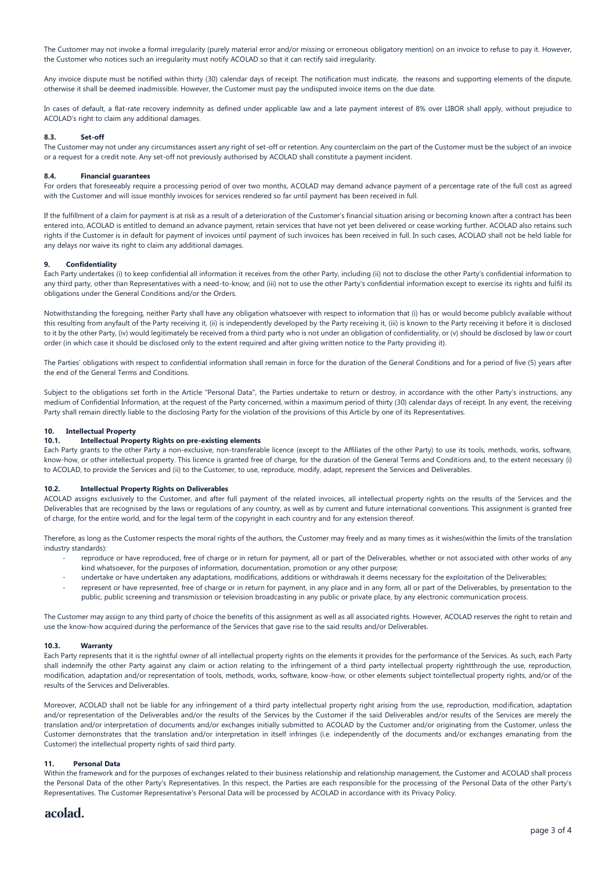The Customer may not invoke a formal irregularity (purely material error and/or missing or erroneous obligatory mention) on an invoice to refuse to pay it. However, the Customer who notices such an irregularity must notify ACOLAD so that it can rectify said irregularity.

Any invoice dispute must be notified within thirty (30) calendar days of receipt. The notification must indicate, the reasons and supporting elements of the dispute, otherwise it shall be deemed inadmissible. However, the Customer must pay the undisputed invoice items on the due date.

In cases of default, a flat-rate recovery indemnity as defined under applicable law and a late payment interest of 8% over LIBOR shall apply, without prejudice to ACOLAD's right to claim any additional damages.

#### **8.3. Set-off**

The Customer may not under any circumstances assert any right of set-off or retention. Any counterclaim on the part of the Customer must be the subject of an invoice or a request for a credit note. Any set-off not previously authorised by ACOLAD shall constitute a payment incident.

#### **8.4. Financial guarantees**

For orders that foreseeably require a processing period of over two months, ACOLAD may demand advance payment of a percentage rate of the full cost as agreed with the Customer and will issue monthly invoices for services rendered so far until payment has been received in full.

If the fulfillment of a claim for payment is at risk as a result of a deterioration of the Customer's financial situation arising or becoming known after a contract has been entered into, ACOLAD is entitled to demand an advance payment, retain services that have not yet been delivered or cease working further. ACOLAD also retains such rights if the Customer is in default for payment of invoices until payment of such invoices has been received in full. In such cases, ACOLAD shall not be held liable for any delays nor waive its right to claim any additional damages.

#### **9. Confidentiality**

Each Party undertakes (i) to keep confidential all information it receives from the other Party, including (ii) not to disclose the other Party's confidential information to any third party, other than Representatives with a need-to-know; and (iii) not to use the other Party's confidential information except to exercise its rights and fulfil its obligations under the General Conditions and/or the Orders.

Notwithstanding the foregoing, neither Party shall have any obligation whatsoever with respect to information that (i) has or would become publicly available without this resulting from anyfault of the Party receiving it, (ii) is independently developed by the Party receiving it, (iii) is known to the Party receiving it before it is disclosed to it by the other Party, (iv) would legitimately be received from a third party who is not under an obligation of confidentiality, or (v) should be disclosed by law or court order (in which case it should be disclosed only to the extent required and after giving written notice to the Party providing it).

The Parties' obligations with respect to confidential information shall remain in force for the duration of the General Conditions and for a period of five (5) years after the end of the General Terms and Conditions.

Subject to the obligations set forth in the Article "Personal Data", the Parties undertake to return or destroy, in accordance with the other Party's instructions, any medium of Confidential Information, at the request of the Party concerned, within a maximum period of thirty (30) calendar days of receipt. In any event, the receiving Party shall remain directly liable to the disclosing Party for the violation of the provisions of this Article by one of its Representatives.

#### **10. Intellectual Property**

#### **10.1. Intellectual Property Rights on pre-existing elements**

Each Party grants to the other Party a non-exclusive, non-transferable licence (except to the Affiliates of the other Party) to use its tools, methods, works, software, know-how, or other intellectual property. This licence is granted free of charge, for the duration of the General Terms and Conditions and, to the extent necessary (i) to ACOLAD, to provide the Services and (ii) to the Customer, to use, reproduce, modify, adapt, represent the Services and Deliverables.

#### **10.2. Intellectual Property Rights on Deliverables**

ACOLAD assigns exclusively to the Customer, and after full payment of the related invoices, all intellectual property rights on the results of the Services and the Deliverables that are recognised by the laws or regulations of any country, as well as by current and future international conventions. This assignment is granted free of charge, for the entire world, and for the legal term of the copyright in each country and for any extension thereof.

Therefore, as long as the Customer respects the moral rights of the authors, the Customer may freely and as many times as it wishes(within the limits of the translation industry standards):

- reproduce or have reproduced, free of charge or in return for payment, all or part of the Deliverables, whether or not associated with other works of any kind whatsoever, for the purposes of information, documentation, promotion or any other purpose;
- undertake or have undertaken any adaptations, modifications, additions or withdrawals it deems necessary for the exploitation of the Deliverables;
- represent or have represented, free of charge or in return for payment, in any place and in any form, all or part of the Deliverables, by presentation to the public, public screening and transmission or television broadcasting in any public or private place, by any electronic communication process.

The Customer may assign to any third party of choice the benefits of this assignment as well as all associated rights. However, ACOLAD reserves the right to retain and use the know-how acquired during the performance of the Services that gave rise to the said results and/or Deliverables.

#### **10.3. Warranty**

Each Party represents that it is the rightful owner of all intellectual property rights on the elements it provides for the performance of the Services. As such, each Party shall indemnify the other Party against any claim or action relating to the infringement of a third party intellectual property rightthrough the use, reproduction, modification, adaptation and/or representation of tools, methods, works, software, know-how, or other elements subject tointellectual property rights, and/or of the results of the Services and Deliverables.

Moreover, ACOLAD shall not be liable for any infringement of a third party intellectual property right arising from the use, reproduction, modification, adaptation and/or representation of the Deliverables and/or the results of the Services by the Customer if the said Deliverables and/or results of the Services are merely the translation and/or interpretation of documents and/or exchanges initially submitted to ACOLAD by the Customer and/or originating from the Customer, unless the Customer demonstrates that the translation and/or interpretation in itself infringes (i.e. independently of the documents and/or exchanges emanating from the Customer) the intellectual property rights of said third party.

#### **11. Personal Data**

Within the framework and for the purposes of exchanges related to their business relationship and relationship management, the Customer and ACOLAD shall process the Personal Data of the other Party's Representatives. In this respect, the Parties are each responsible for the processing of the Personal Data of the other Party's Representatives. The Customer Representative's Personal Data will be processed by ACOLAD in accordance with its Privacy Policy.

#### acolad.